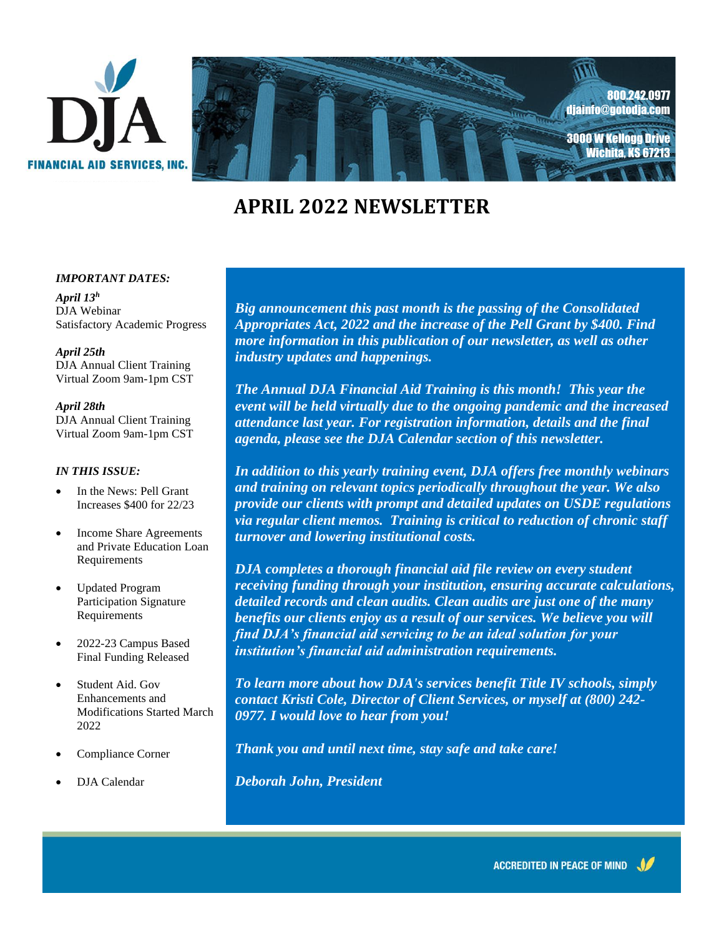



# **APRIL 2022 NEWSLETTER**

#### *IMPORTANT DATES:*

*April 13<sup>h</sup>* DJA Webinar Satisfactory Academic Progress

*April 25th* DJA Annual Client Training Virtual Zoom 9am-1pm CST

*April 28th* DJA Annual Client Training Virtual Zoom 9am-1pm CST

#### *IN THIS ISSUE:*

- In the News: Pell Grant Increases \$400 for 22/23
- Income Share Agreements and Private Education Loan Requirements
- Updated Program Participation Signature Requirements
- 2022-23 Campus Based Final Funding Released
- Student Aid. Gov Enhancements and Modifications Started March 2022
- Compliance Corner
- DJA Calendar

*Season's Greetings! Big announcement this past month is the passing of the Consolidated Industry updates and happenings. <i>industry updates and happenings. Appropriates Act, 2022 and the increase of the Pell Grant by \$400. Find more information in this publication of our newsletter, as well as other* 

*The Annual DJA Financial Aid Training is this month! This year the* event wat be neta virtually alle to the ongoing pandemic and the increas<br>attendance last year. For registration information, details and the final *best wishes for a Happy Holiday and a agenda, please see the DJA Calendar section of this newsletter. event will be held virtually due to the ongoing pandemic and the increased* 

*In addition to this yearly training event, DJA offers free monthly webinars* $\mathbf{r}$  *provide our clients with prompt and detailed updates on USDE regulations Celebrate, Be Merry and Have Fun! via regular client memos. Training is critical to reduction of chronic staff and training on relevant topics periodically throughout the year. We also turnover and lowering institutional costs.* 

*DJA completes a thorough financial aid file review on every student receiving funding through your institution, ensuring accurate calculations, detailed records and clean audits. Clean audits are just one of the many benefits our clients enjoy as a result of our services. We believe you will find DJA's financial aid servicing to be an ideal solution for your institution's financial aid administration requirements.*

*To learn more about how DJA's services benefit Title IV schools, simply contact Kristi Cole, Director of Client Services, or myself at (800) 242- 0977. I would love to hear from you!*

*Thank you and until next time, stay safe and take care!*

*Deborah John, President*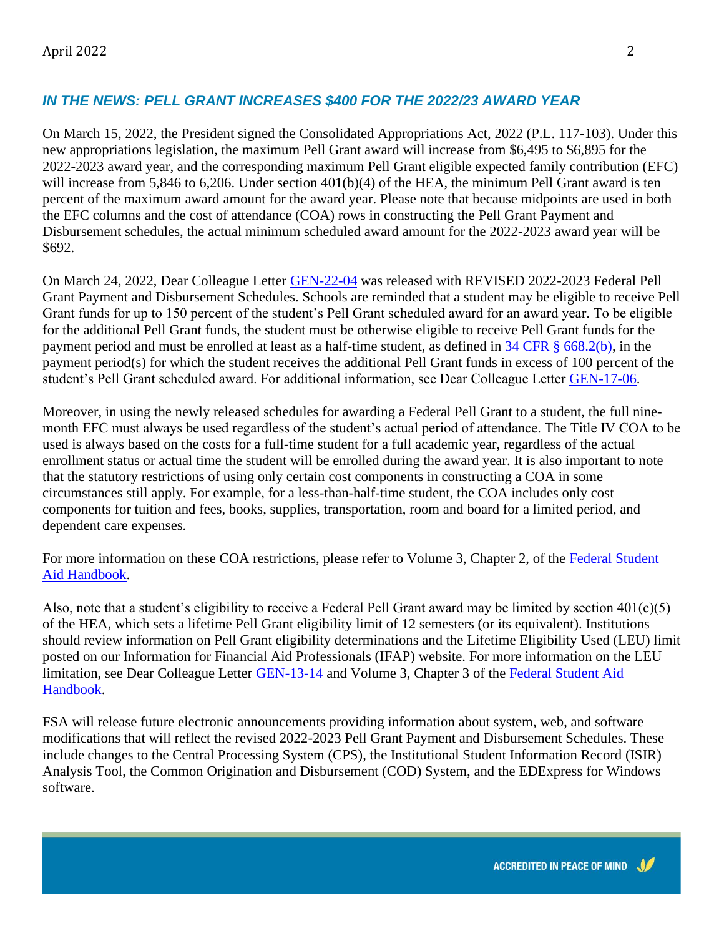# *IN THE NEWS: PELL GRANT INCREASES \$400 FOR THE 2022/23 AWARD YEAR*

On March 15, 2022, the President signed the Consolidated Appropriations Act, 2022 (P.L. 117-103). Under this new appropriations legislation, the maximum Pell Grant award will increase from \$6,495 to \$6,895 for the 2022-2023 award year, and the corresponding maximum Pell Grant eligible expected family contribution (EFC) will increase from 5,846 to 6,206. Under section 401(b)(4) of the HEA, the minimum Pell Grant award is ten percent of the maximum award amount for the award year. Please note that because midpoints are used in both the EFC columns and the cost of attendance (COA) rows in constructing the Pell Grant Payment and Disbursement schedules, the actual minimum scheduled award amount for the 2022-2023 award year will be \$692.

On March 24, 2022, Dear Colleague Letter [GEN-22-04](https://fsapartners.ed.gov/knowledge-center/library/dear-colleague-letters/2022-03-24/revised-2022-2023-federal-pell-grant-payment-and-disbursement-schedules) was released with REVISED 2022-2023 Federal Pell Grant Payment and Disbursement Schedules. Schools are reminded that a student may be eligible to receive Pell Grant funds for up to 150 percent of the student's Pell Grant scheduled award for an award year. To be eligible for the additional Pell Grant funds, the student must be otherwise eligible to receive Pell Grant funds for the payment period and must be enrolled at least as a half-time student, as defined in [34 CFR § 668.2\(b\),](https://www.ecfr.gov/current/title-34/subtitle-B/chapter-VI/part-668#p-668.2(Half-time%20student:)) in the payment period(s) for which the student receives the additional Pell Grant funds in excess of 100 percent of the student's Pell Grant scheduled award. For additional information, see Dear Colleague Letter [GEN-17-06.](https://fsapartners.ed.gov/knowledge-center/library/dear-colleague-letters/2017-06-19/gen-17-06-subject-implementation-year-round-pell-grants)

Moreover, in using the newly released schedules for awarding a Federal Pell Grant to a student, the full ninemonth EFC must always be used regardless of the student's actual period of attendance. The Title IV COA to be used is always based on the costs for a full-time student for a full academic year, regardless of the actual enrollment status or actual time the student will be enrolled during the award year. It is also important to note that the statutory restrictions of using only certain cost components in constructing a COA in some circumstances still apply. For example, for a less-than-half-time student, the COA includes only cost components for tuition and fees, books, supplies, transportation, room and board for a limited period, and dependent care expenses.

For more information on these COA restrictions, please refer to Volume 3, Chapter 2, of the [Federal Student](https://fsapartners.ed.gov/knowledge-center/fsa-handbook)  [Aid Handbook.](https://fsapartners.ed.gov/knowledge-center/fsa-handbook)

Also, note that a student's eligibility to receive a Federal Pell Grant award may be limited by section  $401(c)(5)$ of the HEA, which sets a lifetime Pell Grant eligibility limit of 12 semesters (or its equivalent). Institutions should review information on Pell Grant eligibility determinations and the Lifetime Eligibility Used (LEU) limit posted on our Information for Financial Aid Professionals (IFAP) website. For more information on the LEU limitation, see Dear Colleague Letter [GEN-13-14](https://fsapartners.ed.gov/knowledge-center/library/dear-colleague-letters/2013-05-16/gen-13-14-subject-federal-pell-grant-duration-eligibility-and-lifetime-eligibility-used) and Volume 3, Chapter 3 of the [Federal Student Aid](https://fsapartners.ed.gov/knowledge-center/fsa-handbook)  [Handbook.](https://fsapartners.ed.gov/knowledge-center/fsa-handbook)

FSA will release future electronic announcements providing information about system, web, and software modifications that will reflect the revised 2022-2023 Pell Grant Payment and Disbursement Schedules. These include changes to the Central Processing System (CPS), the Institutional Student Information Record (ISIR) Analysis Tool, the Common Origination and Disbursement (COD) System, and the EDExpress for Windows software.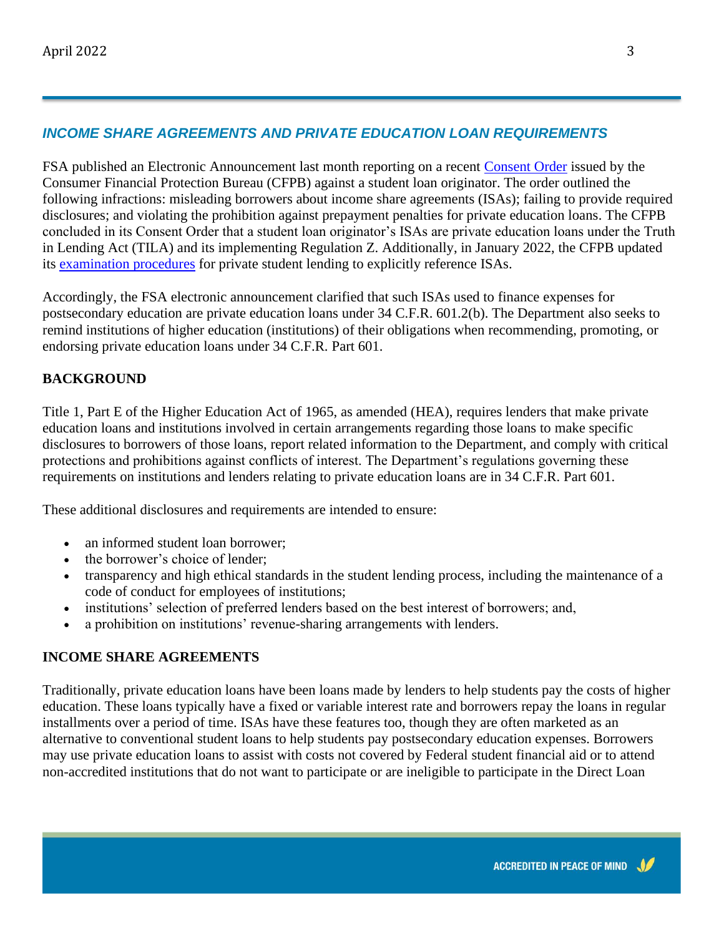# *INCOME SHARE AGREEMENTS AND PRIVATE EDUCATION LOAN REQUIREMENTS*

FSA published an Electronic Announcement last month reporting on a recent [Consent Order](https://www.consumerfinance.gov/about-us/newsroom/cfpb-takes-action-against-student-lender-for-misleading-borrowers-about-income-share-agreements/) issued by the Consumer Financial Protection Bureau (CFPB) against a student loan originator. The order outlined the following infractions: misleading borrowers about income share agreements (ISAs); failing to provide required disclosures; and violating the prohibition against prepayment penalties for private education loans. The CFPB concluded in its Consent Order that a student loan originator's ISAs are private education loans under the Truth in Lending Act (TILA) and its implementing Regulation Z. Additionally, in January 2022, the CFPB updated its [examination procedures](https://files.consumerfinance.gov/f/documents/cfpb_education-loan-servicing-exam-manual_2022-01.pdf) for private student lending to explicitly reference ISAs.

Accordingly, the FSA electronic announcement clarified that such ISAs used to finance expenses for postsecondary education are private education loans under 34 C.F.R. 601.2(b). The Department also seeks to remind institutions of higher education (institutions) of their obligations when recommending, promoting, or endorsing private education loans under 34 C.F.R. Part 601.

#### **BACKGROUND**

Title 1, Part E of the Higher Education Act of 1965, as amended (HEA), requires lenders that make private education loans and institutions involved in certain arrangements regarding those loans to make specific disclosures to borrowers of those loans, report related information to the Department, and comply with critical protections and prohibitions against conflicts of interest. The Department's regulations governing these requirements on institutions and lenders relating to private education loans are in 34 C.F.R. Part 601.

These additional disclosures and requirements are intended to ensure:

- an informed student loan borrower;
- the borrower's choice of lender;
- transparency and high ethical standards in the student lending process, including the maintenance of a code of conduct for employees of institutions;
- institutions' selection of preferred lenders based on the best interest of borrowers; and,
- a prohibition on institutions' revenue-sharing arrangements with lenders.

#### **INCOME SHARE AGREEMENTS**

Traditionally, private education loans have been loans made by lenders to help students pay the costs of higher education. These loans typically have a fixed or variable interest rate and borrowers repay the loans in regular installments over a period of time. ISAs have these features too, though they are often marketed as an alternative to conventional student loans to help students pay postsecondary education expenses. Borrowers may use private education loans to assist with costs not covered by Federal student financial aid or to attend non-accredited institutions that do not want to participate or are ineligible to participate in the Direct Loan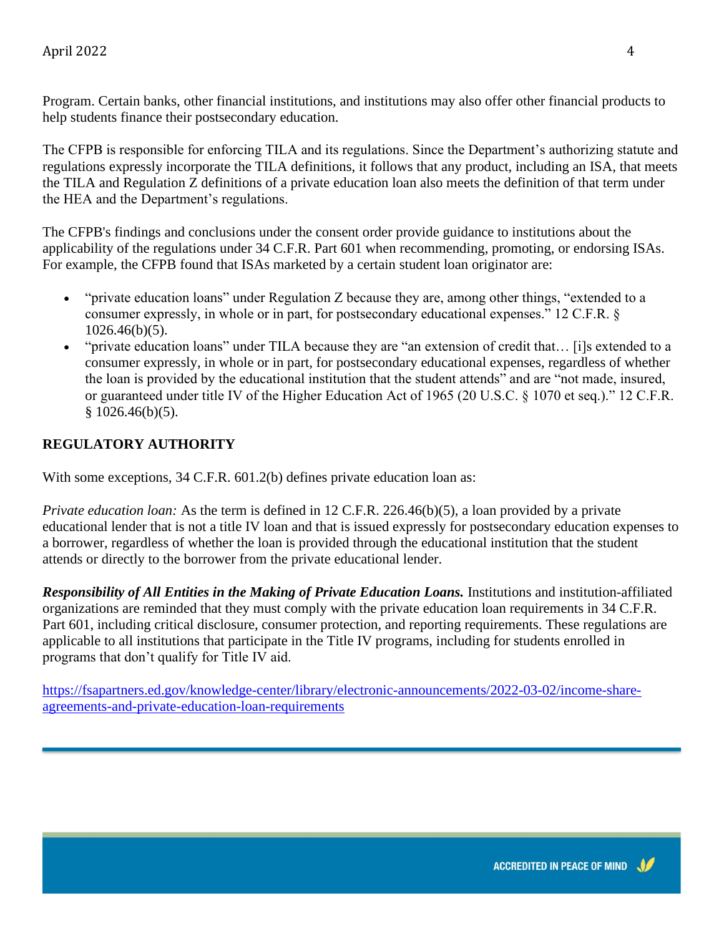Program. Certain banks, other financial institutions, and institutions may also offer other financial products to help students finance their postsecondary education.

The CFPB is responsible for enforcing TILA and its regulations. Since the Department's authorizing statute and regulations expressly incorporate the TILA definitions, it follows that any product, including an ISA, that meets the TILA and Regulation Z definitions of a private education loan also meets the definition of that term under the HEA and the Department's regulations.

The CFPB's findings and conclusions under the consent order provide guidance to institutions about the applicability of the regulations under 34 C.F.R. Part 601 when recommending, promoting, or endorsing ISAs. For example, the CFPB found that ISAs marketed by a certain student loan originator are:

- "private education loans" under Regulation Z because they are, among other things, "extended to a consumer expressly, in whole or in part, for postsecondary educational expenses." 12 C.F.R. § 1026.46(b)(5).
- "private education loans" under TILA because they are "an extension of credit that… [i]s extended to a consumer expressly, in whole or in part, for postsecondary educational expenses, regardless of whether the loan is provided by the educational institution that the student attends" and are "not made, insured, or guaranteed under title IV of the Higher Education Act of 1965 (20 U.S.C. § 1070 et seq.)." 12 C.F.R.  $$1026.46(b)(5).$

### **REGULATORY AUTHORITY**

With some exceptions, 34 C.F.R. 601.2(b) defines private education loan as:

*Private education loan:* As the term is defined in 12 C.F.R. 226.46(b)(5), a loan provided by a private educational lender that is not a title IV loan and that is issued expressly for postsecondary education expenses to a borrower, regardless of whether the loan is provided through the educational institution that the student attends or directly to the borrower from the private educational lender.

*Responsibility of All Entities in the Making of Private Education Loans.* Institutions and institution-affiliated organizations are reminded that they must comply with the private education loan requirements in 34 C.F.R. Part 601, including critical disclosure, consumer protection, and reporting requirements. These regulations are applicable to all institutions that participate in the Title IV programs, including for students enrolled in programs that don't qualify for Title IV aid.

[https://fsapartners.ed.gov/knowledge-center/library/electronic-announcements/2022-03-02/income-share](https://fsapartners.ed.gov/knowledge-center/library/electronic-announcements/2022-03-02/income-share-agreements-and-private-education-loan-requirements)[agreements-and-private-education-loan-requirements](https://fsapartners.ed.gov/knowledge-center/library/electronic-announcements/2022-03-02/income-share-agreements-and-private-education-loan-requirements)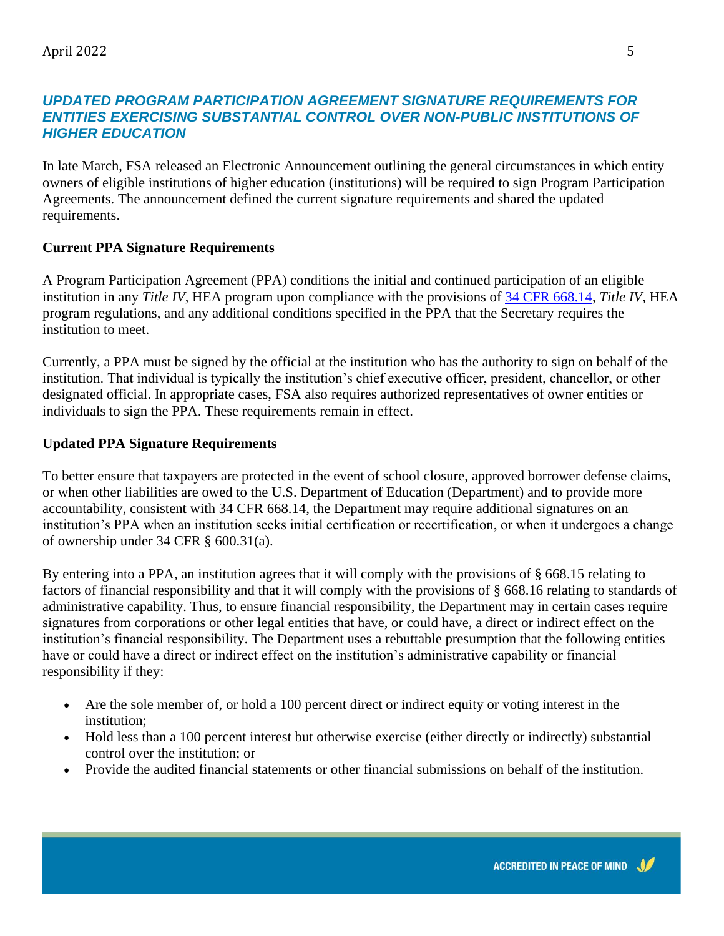#### *UPDATED PROGRAM PARTICIPATION AGREEMENT SIGNATURE REQUIREMENTS FOR*  **ENTITIES EXERCISING SUBSTANTIAL CONTROL OVER NON-PUBLIC INSTITUTIONS OF** *HIGHER EDUCATION*

In late March, FSA released an Electronic Announcement outlining the general circumstances in which entity owners of eligible institutions of higher education (institutions) will be required to sign Program Participation Agreements. The announcement defined the current signature requirements and shared the updated requirements.

# **Current PPA Signature Requirements**

A Program Participation Agreement (PPA) conditions the initial and continued participation of an eligible institution in any *Title IV*, HEA program upon compliance with the provisions of [34 CFR 668.14,](https://www.ecfr.gov/current/title-34/subtitle-B/chapter-VI/part-668/subpart-B/section-668.14) *Title IV*, HEA program regulations, and any additional conditions specified in the PPA that the Secretary requires the institution to meet.

Currently, a PPA must be signed by the official at the institution who has the authority to sign on behalf of the institution. That individual is typically the institution's chief executive officer, president, chancellor, or other designated official. In appropriate cases, FSA also requires authorized representatives of owner entities or individuals to sign the PPA. These requirements remain in effect.

# **Updated PPA Signature Requirements**

To better ensure that taxpayers are protected in the event of school closure, approved borrower defense claims, or when other liabilities are owed to the U.S. Department of Education (Department) and to provide more accountability, consistent with 34 CFR 668.14, the Department may require additional signatures on an institution's PPA when an institution seeks initial certification or recertification, or when it undergoes a change of ownership under 34 CFR § 600.31(a).

By entering into a PPA, an institution agrees that it will comply with the provisions of § 668.15 relating to factors of financial responsibility and that it will comply with the provisions of § 668.16 relating to standards of administrative capability. Thus, to ensure financial responsibility, the Department may in certain cases require signatures from corporations or other legal entities that have, or could have, a direct or indirect effect on the institution's financial responsibility. The Department uses a rebuttable presumption that the following entities have or could have a direct or indirect effect on the institution's administrative capability or financial responsibility if they:

- Are the sole member of, or hold a 100 percent direct or indirect equity or voting interest in the institution;
- Hold less than a 100 percent interest but otherwise exercise (either directly or indirectly) substantial control over the institution; or
- Provide the audited financial statements or other financial submissions on behalf of the institution.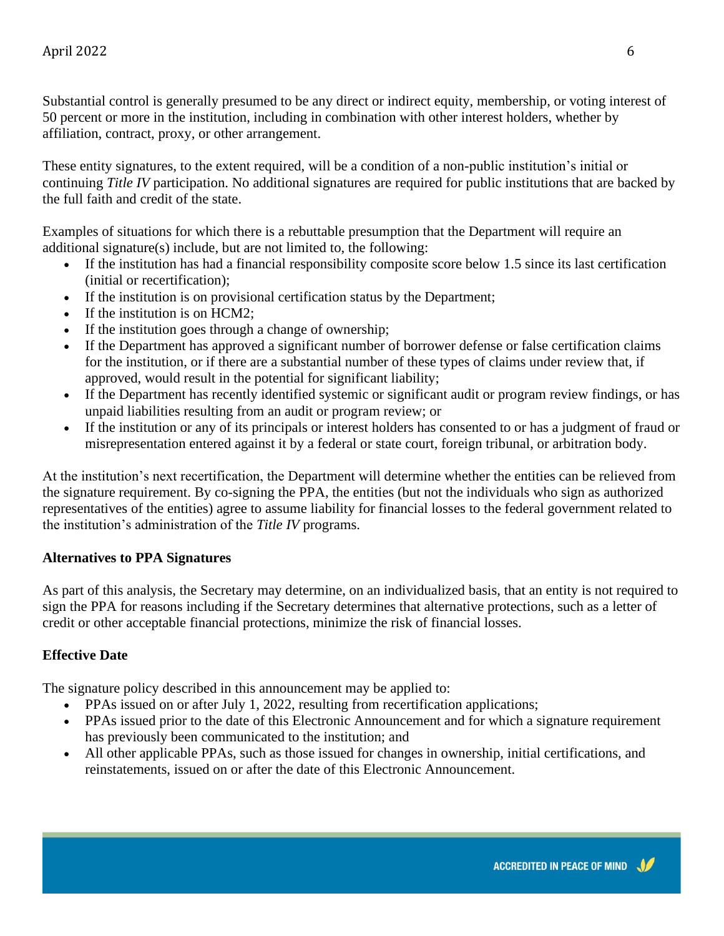Substantial control is generally presumed to be any direct or indirect equity, membership, or voting interest of 50 percent or more in the institution, including in combination with other interest holders, whether by affiliation, contract, proxy, or other arrangement.

These entity signatures, to the extent required, will be a condition of a non-public institution's initial or continuing *Title IV* participation. No additional signatures are required for public institutions that are backed by the full faith and credit of the state.

Examples of situations for which there is a rebuttable presumption that the Department will require an additional signature(s) include, but are not limited to, the following:

- If the institution has had a financial responsibility composite score below 1.5 since its last certification (initial or recertification);
- If the institution is on provisional certification status by the Department;
- If the institution is on HCM2;
- If the institution goes through a change of ownership;
- If the Department has approved a significant number of borrower defense or false certification claims for the institution, or if there are a substantial number of these types of claims under review that, if approved, would result in the potential for significant liability;
- If the Department has recently identified systemic or significant audit or program review findings, or has unpaid liabilities resulting from an audit or program review; or
- If the institution or any of its principals or interest holders has consented to or has a judgment of fraud or misrepresentation entered against it by a federal or state court, foreign tribunal, or arbitration body.

At the institution's next recertification, the Department will determine whether the entities can be relieved from the signature requirement. By co-signing the PPA, the entities (but not the individuals who sign as authorized representatives of the entities) agree to assume liability for financial losses to the federal government related to the institution's administration of the *Title IV* programs.

#### **Alternatives to PPA Signatures**

As part of this analysis, the Secretary may determine, on an individualized basis, that an entity is not required to sign the PPA for reasons including if the Secretary determines that alternative protections, such as a letter of credit or other acceptable financial protections, minimize the risk of financial losses.

#### **Effective Date**

The signature policy described in this announcement may be applied to:

- PPAs issued on or after July 1, 2022, resulting from recertification applications;
- PPAs issued prior to the date of this Electronic Announcement and for which a signature requirement has previously been communicated to the institution; and
- All other applicable PPAs, such as those issued for changes in ownership, initial certifications, and reinstatements, issued on or after the date of this Electronic Announcement.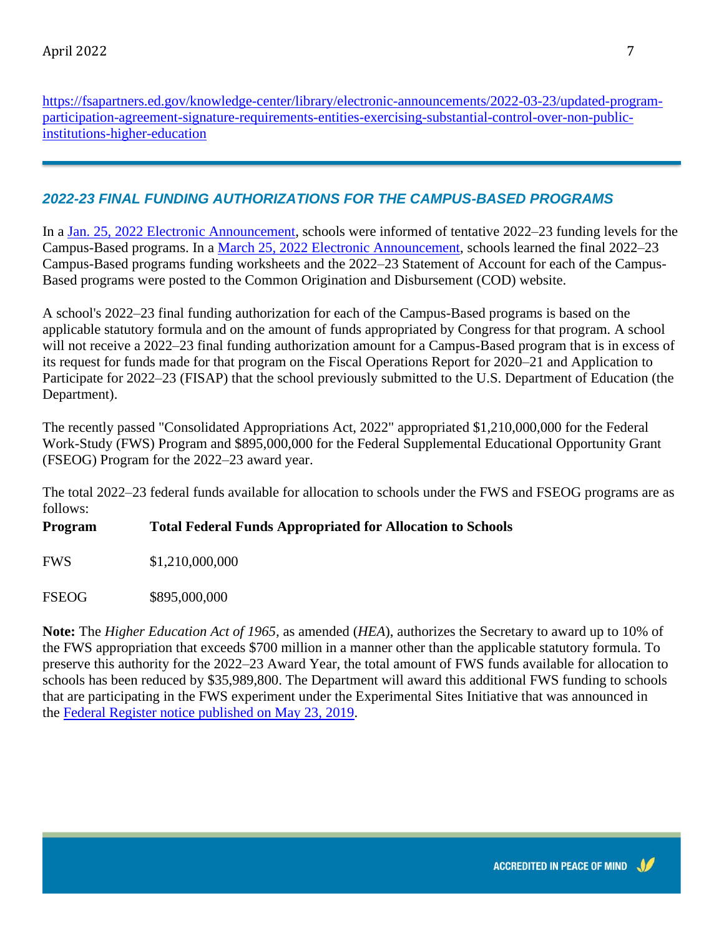[https://fsapartners.ed.gov/knowledge-center/library/electronic-announcements/2022-03-23/updated-program](https://fsapartners.ed.gov/knowledge-center/library/electronic-announcements/2022-03-23/updated-program-participation-agreement-signature-requirements-entities-exercising-substantial-control-over-non-public-institutions-higher-education)[participation-agreement-signature-requirements-entities-exercising-substantial-control-over-non-public](https://fsapartners.ed.gov/knowledge-center/library/electronic-announcements/2022-03-23/updated-program-participation-agreement-signature-requirements-entities-exercising-substantial-control-over-non-public-institutions-higher-education)[institutions-higher-education](https://fsapartners.ed.gov/knowledge-center/library/electronic-announcements/2022-03-23/updated-program-participation-agreement-signature-requirements-entities-exercising-substantial-control-over-non-public-institutions-higher-education)

# *2022-23 FINAL FUNDING AUTHORIZATIONS FOR THE CAMPUS-BASED PROGRAMS*

In a [Jan. 25, 2022 Electronic Announcement,](https://fsapartners.ed.gov/knowledge-center/library/electronic-announcements/2022-01-25/tentative-2022-23-funding-levels-campus-based-programs) schools were informed of tentative 2022–23 funding levels for the Campus-Based programs. In a [March 25, 2022 Electronic Announcement,](https://fsapartners.ed.gov/knowledge-center/library/electronic-announcements/2022-03-25/2022-23-final-funding-authorizations-campus-based-programs) schools learned the final 2022–23 Campus-Based programs funding worksheets and the 2022–23 Statement of Account for each of the Campus-Based programs were posted to the Common Origination and Disbursement (COD) website.

A school's 2022–23 final funding authorization for each of the Campus-Based programs is based on the applicable statutory formula and on the amount of funds appropriated by Congress for that program. A school will not receive a 2022–23 final funding authorization amount for a Campus-Based program that is in excess of its request for funds made for that program on the Fiscal Operations Report for 2020–21 and Application to Participate for 2022–23 (FISAP) that the school previously submitted to the U.S. Department of Education (the Department).

The recently passed "Consolidated Appropriations Act, 2022" appropriated \$1,210,000,000 for the Federal Work-Study (FWS) Program and \$895,000,000 for the Federal Supplemental Educational Opportunity Grant (FSEOG) Program for the 2022–23 award year.

The total 2022–23 federal funds available for allocation to schools under the FWS and FSEOG programs are as follows:

#### **Program Total Federal Funds Appropriated for Allocation to Schools**

FWS \$1,210,000,000

FSEOG \$895,000,000

**Note:** The *Higher Education Act of 1965,* as amended (*HEA*), authorizes the Secretary to award up to 10% of the FWS appropriation that exceeds \$700 million in a manner other than the applicable statutory formula. To preserve this authority for the 2022–23 Award Year, the total amount of FWS funds available for allocation to schools has been reduced by \$35,989,800. The Department will award this additional FWS funding to schools that are participating in the FWS experiment under the Experimental Sites Initiative that was announced in the [Federal Register notice published on May 23, 2019.](https://fsapartners.ed.gov/knowledge-center/library/federal-registers/2019-07-01/experimental-sites-initiative-federal-work-study)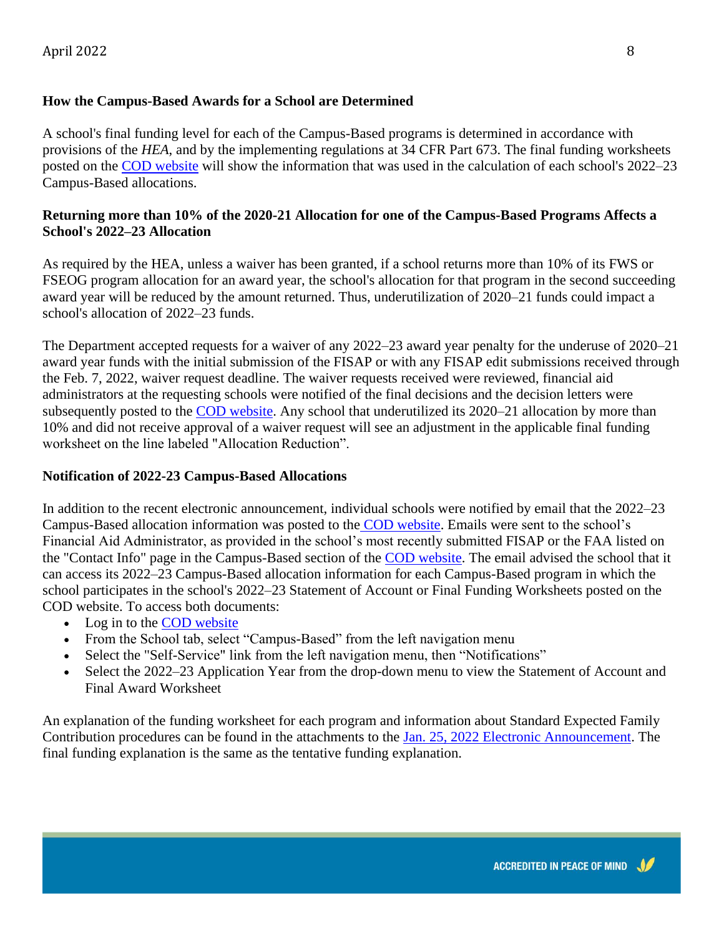#### **How the Campus-Based Awards for a School are Determined**

A school's final funding level for each of the Campus-Based programs is determined in accordance with provisions of the *HEA*, and by the implementing regulations at 34 CFR Part 673. The final funding worksheets posted on the [COD website](https://cod.ed.gov/cod/LoginPage) will show the information that was used in the calculation of each school's 2022–23 Campus-Based allocations.

#### **Returning more than 10% of the 2020-21 Allocation for one of the Campus-Based Programs Affects a School's 2022–23 Allocation**

As required by the HEA, unless a waiver has been granted, if a school returns more than 10% of its FWS or FSEOG program allocation for an award year, the school's allocation for that program in the second succeeding award year will be reduced by the amount returned. Thus, underutilization of 2020–21 funds could impact a school's allocation of 2022–23 funds.

The Department accepted requests for a waiver of any 2022–23 award year penalty for the underuse of 2020–21 award year funds with the initial submission of the FISAP or with any FISAP edit submissions received through the Feb. 7, 2022, waiver request deadline. The waiver requests received were reviewed, financial aid administrators at the requesting schools were notified of the final decisions and the decision letters were subsequently posted to the [COD website.](https://cod.ed.gov/cod/LoginPage) Any school that underutilized its 2020–21 allocation by more than 10% and did not receive approval of a waiver request will see an adjustment in the applicable final funding worksheet on the line labeled "Allocation Reduction".

#### **Notification of 2022-23 Campus-Based Allocations**

In addition to the recent electronic announcement, individual schools were notified by email that the 2022–23 Campus-Based allocation information was posted to the [COD website.](https://cod.ed.gov/cod/LoginPage) Emails were sent to the school's Financial Aid Administrator, as provided in the school's most recently submitted FISAP or the FAA listed on the "Contact Info" page in the Campus-Based section of the [COD website.](https://cod.ed.gov/cod/LoginPage) The email advised the school that it can access its 2022–23 Campus-Based allocation information for each Campus-Based program in which the school participates in the school's 2022–23 Statement of Account or Final Funding Worksheets posted on the COD website. To access both documents:

- Log in to the [COD website](https://cod.ed.gov/cod/LoginPage)
- From the School tab, select "Campus-Based" from the left navigation menu
- Select the "Self-Service" link from the left navigation menu, then "Notifications"
- Select the 2022–23 Application Year from the drop-down menu to view the Statement of Account and Final Award Worksheet

An explanation of the funding worksheet for each program and information about Standard Expected Family Contribution procedures can be found in the attachments to the [Jan. 25, 2022 Electronic Announcement.](https://fsapartners.ed.gov/knowledge-center/library/electronic-announcements/2022-01-25/tentative-2022-23-funding-levels-campus-based-programs) The final funding explanation is the same as the tentative funding explanation.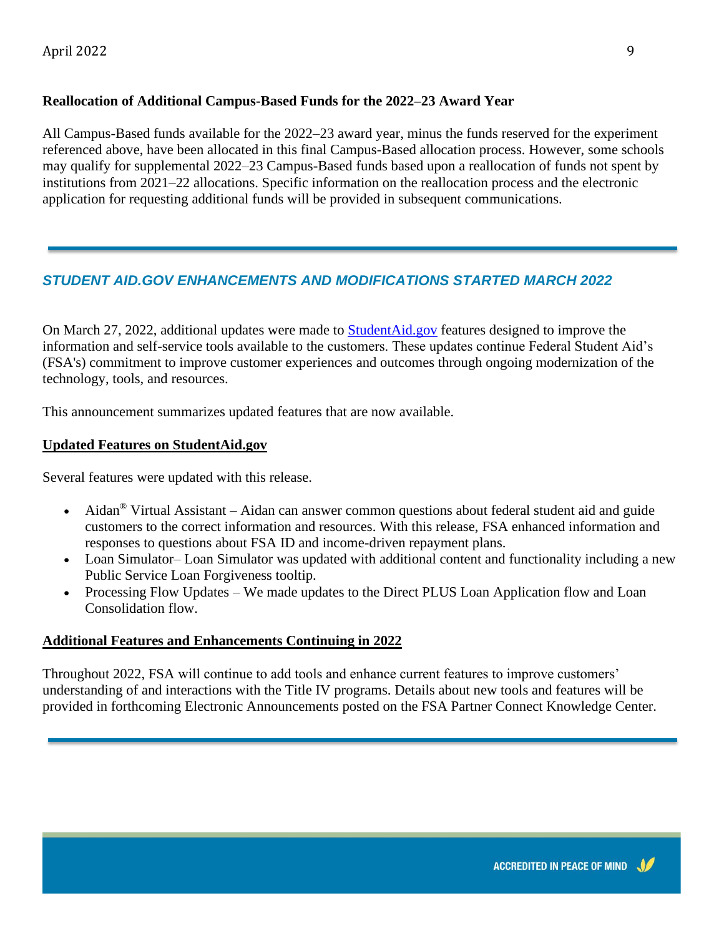#### **Reallocation of Additional Campus-Based Funds for the 2022–23 Award Year**

All Campus-Based funds available for the 2022–23 award year, minus the funds reserved for the experiment referenced above, have been allocated in this final Campus-Based allocation process. However, some schools may qualify for supplemental 2022–23 Campus-Based funds based upon a reallocation of funds not spent by institutions from 2021–22 allocations. Specific information on the reallocation process and the electronic application for requesting additional funds will be provided in subsequent communications.

# *STUDENT AID.GOV ENHANCEMENTS AND MODIFICATIONS STARTED MARCH 2022*

On March 27, 2022, additional updates were made to **[StudentAid.gov](https://studentaid.gov/)** features designed to improve the information and self-service tools available to the customers. These updates continue Federal Student Aid's (FSA's) commitment to improve customer experiences and outcomes through ongoing modernization of the technology, tools, and resources.

This announcement summarizes updated features that are now available.

#### **Updated Features on StudentAid.gov**

Several features were updated with this release.

- Aidan® Virtual Assistant Aidan can answer common questions about federal student aid and guide customers to the correct information and resources. With this release, FSA enhanced information and responses to questions about FSA ID and income-driven repayment plans.
- Loan Simulator– Loan Simulator was updated with additional content and functionality including a new Public Service Loan Forgiveness tooltip.
- Processing Flow Updates We made updates to the Direct PLUS Loan Application flow and Loan Consolidation flow.

#### **Additional Features and Enhancements Continuing in 2022**

Throughout 2022, FSA will continue to add tools and enhance current features to improve customers' understanding of and interactions with the Title IV programs. Details about new tools and features will be provided in forthcoming Electronic Announcements posted on the FSA Partner Connect Knowledge Center.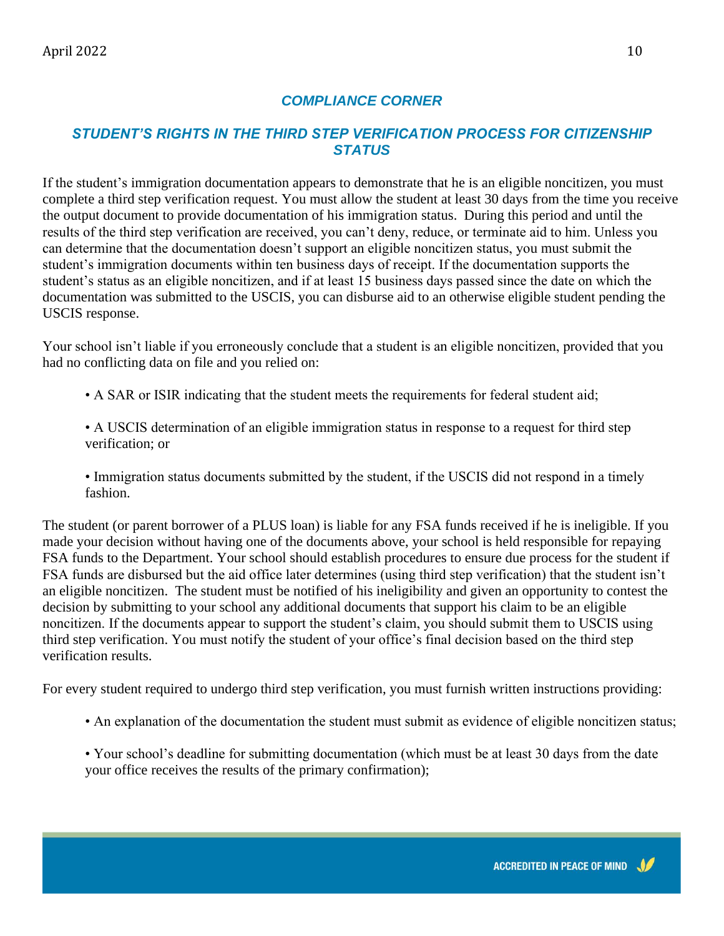#### *COMPLIANCE CORNER*

#### *STUDENT'S RIGHTS IN THE THIRD STEP VERIFICATION PROCESS FOR CITIZENSHIP STATUS*

If the student's immigration documentation appears to demonstrate that he is an eligible noncitizen, you must complete a third step verification request. You must allow the student at least 30 days from the time you receive the output document to provide documentation of his immigration status. During this period and until the results of the third step verification are received, you can't deny, reduce, or terminate aid to him. Unless you can determine that the documentation doesn't support an eligible noncitizen status, you must submit the student's immigration documents within ten business days of receipt. If the documentation supports the student's status as an eligible noncitizen, and if at least 15 business days passed since the date on which the documentation was submitted to the USCIS, you can disburse aid to an otherwise eligible student pending the USCIS response.

Your school isn't liable if you erroneously conclude that a student is an eligible noncitizen, provided that you had no conflicting data on file and you relied on:

- A SAR or ISIR indicating that the student meets the requirements for federal student aid;
- A USCIS determination of an eligible immigration status in response to a request for third step verification; or
- Immigration status documents submitted by the student, if the USCIS did not respond in a timely fashion.

The student (or parent borrower of a PLUS loan) is liable for any FSA funds received if he is ineligible. If you made your decision without having one of the documents above, your school is held responsible for repaying FSA funds to the Department. Your school should establish procedures to ensure due process for the student if FSA funds are disbursed but the aid office later determines (using third step verification) that the student isn't an eligible noncitizen. The student must be notified of his ineligibility and given an opportunity to contest the decision by submitting to your school any additional documents that support his claim to be an eligible noncitizen. If the documents appear to support the student's claim, you should submit them to USCIS using third step verification. You must notify the student of your office's final decision based on the third step verification results.

For every student required to undergo third step verification, you must furnish written instructions providing:

- An explanation of the documentation the student must submit as evidence of eligible noncitizen status;
- Your school's deadline for submitting documentation (which must be at least 30 days from the date your office receives the results of the primary confirmation);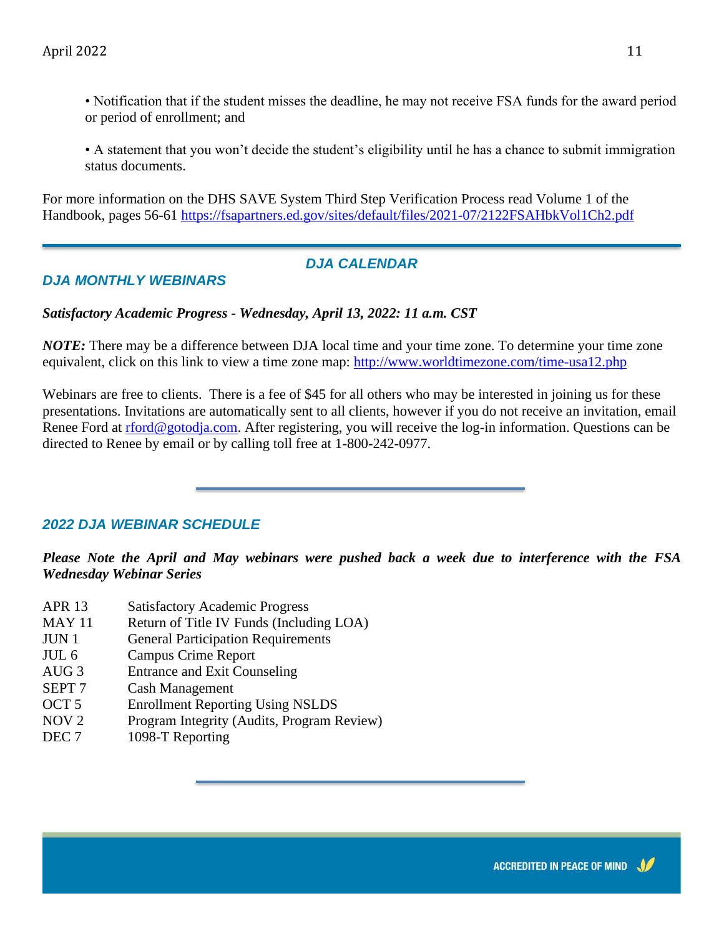• Notification that if the student misses the deadline, he may not receive FSA funds for the award period or period of enrollment; and

• A statement that you won't decide the student's eligibility until he has a chance to submit immigration status documents.

For more information on the DHS SAVE System Third Step Verification Process read Volume 1 of the Handbook, pages 56-61 <https://fsapartners.ed.gov/sites/default/files/2021-07/2122FSAHbkVol1Ch2.pdf>

#### *DJA CALENDAR*

### *DJA MONTHLY WEBINARS*

#### *Satisfactory Academic Progress - Wednesday, April 13, 2022: 11 a.m. CST*

*NOTE:* There may be a difference between DJA local time and your time zone. To determine your time zone equivalent, click on this link to view a time zone map:<http://www.worldtimezone.com/time-usa12.php>

Webinars are free to clients. There is a fee of \$45 for all others who may be interested in joining us for these presentations. Invitations are automatically sent to all clients, however if you do not receive an invitation, email Renee Ford at [rford@gotodja.com.](mailto:rford@gotodja.com) After registering, you will receive the log-in information. Questions can be directed to Renee by email or by calling toll free at 1-800-242-0977.

#### *2022 DJA WEBINAR SCHEDULE*

*Please Note the April and May webinars were pushed back a week due to interference with the FSA Wednesday Webinar Series*

- APR 13 Satisfactory Academic Progress
- MAY 11 Return of Title IV Funds (Including LOA)
- JUN 1 General Participation Requirements
- JUL 6 Campus Crime Report
- AUG 3 Entrance and Exit Counseling
- SEPT 7 Cash Management
- OCT 5 Enrollment Reporting Using NSLDS
- NOV 2 Program Integrity (Audits, Program Review)
- DEC 7 1098-T Reporting